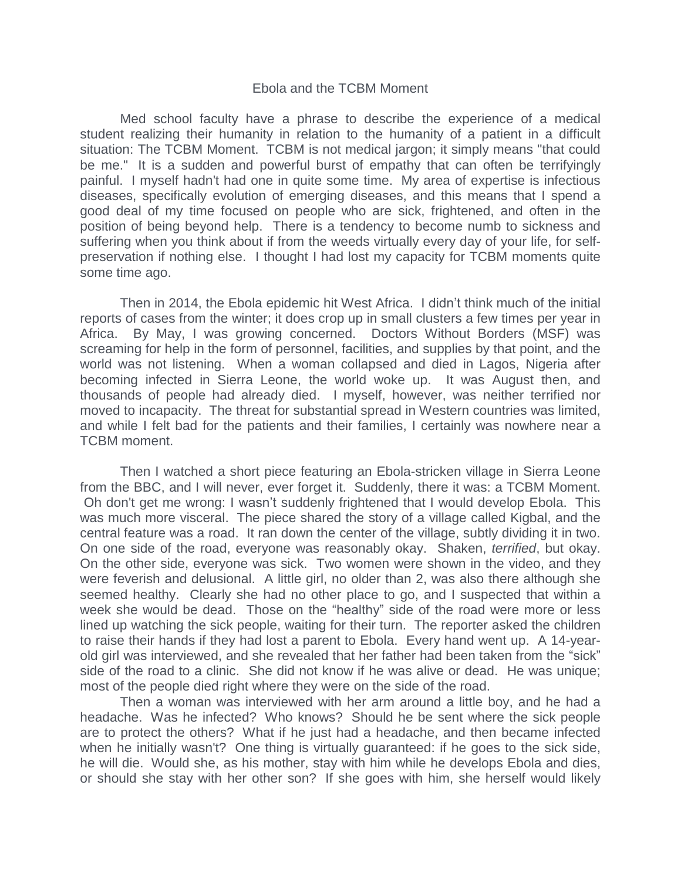## Ebola and the TCBM Moment

Med school faculty have a phrase to describe the experience of a medical student realizing their humanity in relation to the humanity of a patient in a difficult situation: The TCBM Moment. TCBM is not medical jargon; it simply means "that could be me." It is a sudden and powerful burst of empathy that can often be terrifyingly painful. I myself hadn't had one in quite some time. My area of expertise is infectious diseases, specifically evolution of emerging diseases, and this means that I spend a good deal of my time focused on people who are sick, frightened, and often in the position of being beyond help. There is a tendency to become numb to sickness and suffering when you think about if from the weeds virtually every day of your life, for selfpreservation if nothing else. I thought I had lost my capacity for TCBM moments quite some time ago.

Then in 2014, the Ebola epidemic hit West Africa. I didn't think much of the initial reports of cases from the winter; it does crop up in small clusters a few times per year in Africa. By May, I was growing concerned. Doctors Without Borders (MSF) was screaming for help in the form of personnel, facilities, and supplies by that point, and the world was not listening. When a woman collapsed and died in Lagos, Nigeria after becoming infected in Sierra Leone, the world woke up. It was August then, and thousands of people had already died. I myself, however, was neither terrified nor moved to incapacity. The threat for substantial spread in Western countries was limited, and while I felt bad for the patients and their families, I certainly was nowhere near a TCBM moment.

Then I watched a short piece featuring an Ebola-stricken village in Sierra Leone from the BBC, and I will never, ever forget it. Suddenly, there it was: a TCBM Moment. Oh don't get me wrong: I wasn't suddenly frightened that I would develop Ebola. This was much more visceral. The piece shared the story of a village called Kigbal, and the central feature was a road. It ran down the center of the village, subtly dividing it in two. On one side of the road, everyone was reasonably okay. Shaken, *terrified*, but okay. On the other side, everyone was sick. Two women were shown in the video, and they were feverish and delusional. A little girl, no older than 2, was also there although she seemed healthy. Clearly she had no other place to go, and I suspected that within a week she would be dead. Those on the "healthy" side of the road were more or less lined up watching the sick people, waiting for their turn. The reporter asked the children to raise their hands if they had lost a parent to Ebola. Every hand went up. A 14-yearold girl was interviewed, and she revealed that her father had been taken from the "sick" side of the road to a clinic. She did not know if he was alive or dead. He was unique; most of the people died right where they were on the side of the road.

Then a woman was interviewed with her arm around a little boy, and he had a headache. Was he infected? Who knows? Should he be sent where the sick people are to protect the others? What if he just had a headache, and then became infected when he initially wasn't? One thing is virtually guaranteed: if he goes to the sick side, he will die. Would she, as his mother, stay with him while he develops Ebola and dies, or should she stay with her other son? If she goes with him, she herself would likely